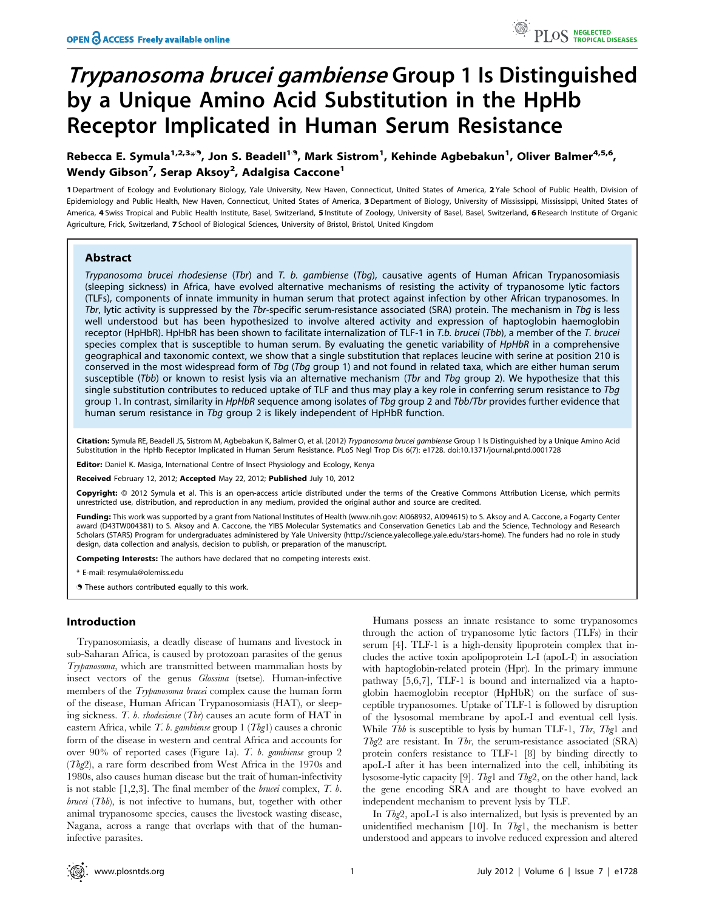# Trypanosoma brucei gambiense Group 1 Is Distinguished by a Unique Amino Acid Substitution in the HpHb Receptor Implicated in Human Serum Resistance

Rebecca E. Symula<sup>1,2,3</sup>\*<sup>9</sup>, Jon S. Beadell<sup>19</sup>, Mark Sistrom<sup>1</sup>, Kehinde Agbebakun<sup>1</sup>, Oliver Balmer<sup>4,5,6</sup>, Wendy Gibson<sup>7</sup>, Serap Aksoy<sup>2</sup>, Adalgisa Caccone<sup>1</sup>

1 Department of Ecology and Evolutionary Biology, Yale University, New Haven, Connecticut, United States of America, 2 Yale School of Public Health, Division of Epidemiology and Public Health, New Haven, Connecticut, United States of America, 3 Department of Biology, University of Mississippi, Mississippi, United States of America, 4 Swiss Tropical and Public Health Institute, Basel, Switzerland, 5 Institute of Zoology, University of Basel, Basel, Switzerland, 6 Research Institute of Organic Agriculture, Frick, Switzerland, 7 School of Biological Sciences, University of Bristol, Bristol, United Kingdom

## Abstract

Trypanosoma brucei rhodesiense (Tbr) and T. b. gambiense (Tbg), causative agents of Human African Trypanosomiasis (sleeping sickness) in Africa, have evolved alternative mechanisms of resisting the activity of trypanosome lytic factors (TLFs), components of innate immunity in human serum that protect against infection by other African trypanosomes. In Tbr, lytic activity is suppressed by the Tbr-specific serum-resistance associated (SRA) protein. The mechanism in Tbg is less well understood but has been hypothesized to involve altered activity and expression of haptoglobin haemoglobin receptor (HpHbR). HpHbR has been shown to facilitate internalization of TLF-1 in T.b. brucei (Tbb), a member of the T. brucei species complex that is susceptible to human serum. By evaluating the genetic variability of HpHbR in a comprehensive geographical and taxonomic context, we show that a single substitution that replaces leucine with serine at position 210 is conserved in the most widespread form of Tbg (Tbg group 1) and not found in related taxa, which are either human serum susceptible (Tbb) or known to resist lysis via an alternative mechanism (Tbr and Tbq group 2). We hypothesize that this single substitution contributes to reduced uptake of TLF and thus may play a key role in conferring serum resistance to Tbg group 1. In contrast, similarity in HpHbR sequence among isolates of Tbg group 2 and Tbb/Tbr provides further evidence that human serum resistance in Tbg group 2 is likely independent of HpHbR function.

Citation: Symula RE, Beadell JS, Sistrom M, Agbebakun K, Balmer O, et al. (2012) Trypanosoma brucei gambiense Group 1 Is Distinguished by a Unique Amino Acid Substitution in the HpHb Receptor Implicated in Human Serum Resistance. PLoS Negl Trop Dis 6(7): e1728. doi:10.1371/journal.pntd.0001728

Editor: Daniel K. Masiga, International Centre of Insect Physiology and Ecology, Kenya

Received February 12, 2012; Accepted May 22, 2012; Published July 10, 2012

**Copyright:** © 2012 Symula et al. This is an open-access article distributed under the terms of the Creative Commons Attribution License, which permits unrestricted use, distribution, and reproduction in any medium, provided the original author and source are credited.

Funding: This work was supported by a grant from National Institutes of Health (www.nih.gov: Al068932, Al094615) to S. Aksoy and A. Caccone, a Fogarty Center award (D43TW004381) to S. Aksoy and A. Caccone, the YIBS Molecular Systematics and Conservation Genetics Lab and the Science, Technology and Research Scholars (STARS) Program for undergraduates administered by Yale University (http://science.yalecollege.yale.edu/stars-home). The funders had no role in study design, data collection and analysis, decision to publish, or preparation of the manuscript.

Competing Interests: The authors have declared that no competing interests exist.

\* E-mail: resymula@olemiss.edu

. These authors contributed equally to this work.

# Introduction

Trypanosomiasis, a deadly disease of humans and livestock in sub-Saharan Africa, is caused by protozoan parasites of the genus Trypanosoma, which are transmitted between mammalian hosts by insect vectors of the genus Glossina (tsetse). Human-infective members of the Trypanosoma brucei complex cause the human form of the disease, Human African Trypanosomiasis (HAT), or sleeping sickness. T. b. rhodesiense (Tbr) causes an acute form of HAT in eastern Africa, while T. b. gambiense group  $1$  (Tbg1) causes a chronic form of the disease in western and central Africa and accounts for over 90% of reported cases (Figure 1a). T. b. gambiense group 2 (Tbg2), a rare form described from West Africa in the 1970s and 1980s, also causes human disease but the trait of human-infectivity is not stable  $[1,2,3]$ . The final member of the *brucei* complex,  $T$ .  $b$ . brucei (Tbb), is not infective to humans, but, together with other animal trypanosome species, causes the livestock wasting disease, Nagana, across a range that overlaps with that of the humaninfective parasites.

Humans possess an innate resistance to some trypanosomes through the action of trypanosome lytic factors (TLFs) in their serum [4]. TLF-1 is a high-density lipoprotein complex that includes the active toxin apolipoprotein L-I (apoL-I) in association with haptoglobin-related protein (Hpr). In the primary immune pathway [5,6,7], TLF-1 is bound and internalized via a haptoglobin haemoglobin receptor (HpHbR) on the surface of susceptible trypanosomes. Uptake of TLF-1 is followed by disruption of the lysosomal membrane by apoL-I and eventual cell lysis. While Tbb is susceptible to lysis by human TLF-1, Tbr, Tbg1 and Tbg2 are resistant. In Tbr, the serum-resistance associated  $(SRA)$ protein confers resistance to TLF-1 [8] by binding directly to apoL-I after it has been internalized into the cell, inhibiting its lysosome-lytic capacity [9]. Tbg1 and Tbg2, on the other hand, lack the gene encoding SRA and are thought to have evolved an independent mechanism to prevent lysis by TLF.

In Tbg2, apoL-I is also internalized, but lysis is prevented by an unidentified mechanism  $[10]$ . In Tbg1, the mechanism is better understood and appears to involve reduced expression and altered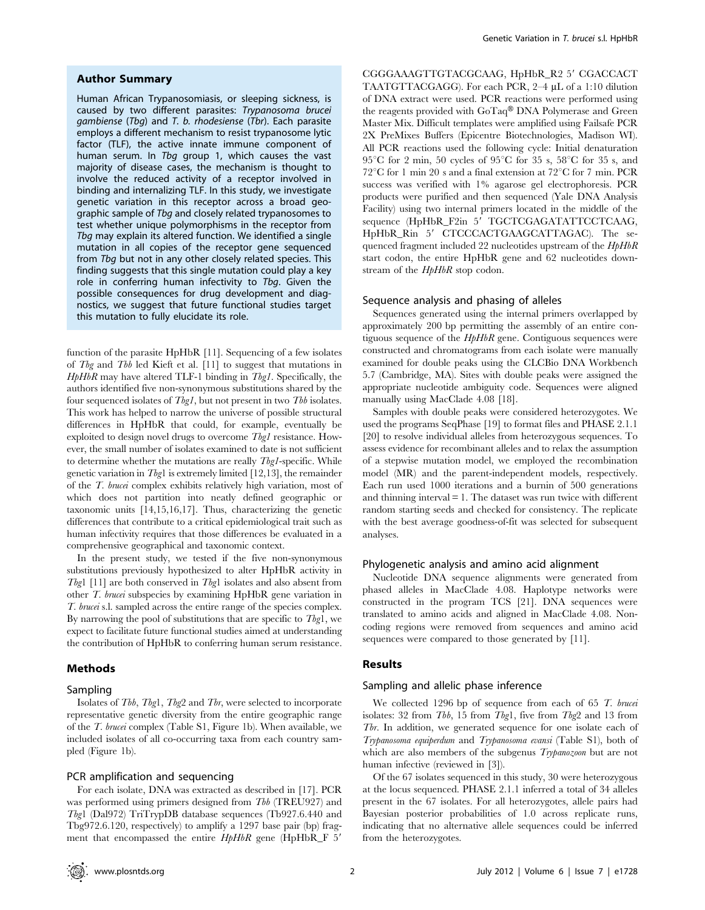#### Author Summary

Human African Trypanosomiasis, or sleeping sickness, is caused by two different parasites: Trypanosoma brucei gambiense (Tbg) and T. b. rhodesiense (Tbr). Each parasite employs a different mechanism to resist trypanosome lytic factor (TLF), the active innate immune component of human serum. In Tbg group 1, which causes the vast majority of disease cases, the mechanism is thought to involve the reduced activity of a receptor involved in binding and internalizing TLF. In this study, we investigate genetic variation in this receptor across a broad geographic sample of Tbg and closely related trypanosomes to test whether unique polymorphisms in the receptor from Tbg may explain its altered function. We identified a single mutation in all copies of the receptor gene sequenced from Tbg but not in any other closely related species. This finding suggests that this single mutation could play a key role in conferring human infectivity to Tbq. Given the possible consequences for drug development and diagnostics, we suggest that future functional studies target this mutation to fully elucidate its role.

function of the parasite HpHbR [11]. Sequencing of a few isolates of Tbg and Tbb led Kieft et al. [11] to suggest that mutations in  $HpHbR$  may have altered TLF-1 binding in Tbg1. Specifically, the authors identified five non-synonymous substitutions shared by the four sequenced isolates of Thg1, but not present in two Thb isolates. This work has helped to narrow the universe of possible structural differences in HpHbR that could, for example, eventually be exploited to design novel drugs to overcome Tbg1 resistance. However, the small number of isolates examined to date is not sufficient to determine whether the mutations are really Tbg1-specific. While genetic variation in  $Tbgl$  is extremely limited [12,13], the remainder of the T. brucei complex exhibits relatively high variation, most of which does not partition into neatly defined geographic or taxonomic units [14,15,16,17]. Thus, characterizing the genetic differences that contribute to a critical epidemiological trait such as human infectivity requires that those differences be evaluated in a comprehensive geographical and taxonomic context.

In the present study, we tested if the five non-synonymous substitutions previously hypothesized to alter HpHbR activity in Tbg1 [11] are both conserved in Tbg1 isolates and also absent from other T. brucei subspecies by examining HpHbR gene variation in T. brucei s.l. sampled across the entire range of the species complex. By narrowing the pool of substitutions that are specific to  $Tbgl$ , we expect to facilitate future functional studies aimed at understanding the contribution of HpHbR to conferring human serum resistance.

## Methods

#### Sampling

Isolates of Tbb, Tbg1, Tbg2 and Tbr, were selected to incorporate representative genetic diversity from the entire geographic range of the T. brucei complex (Table S1, Figure 1b). When available, we included isolates of all co-occurring taxa from each country sampled (Figure 1b).

# PCR amplification and sequencing

For each isolate, DNA was extracted as described in [17]. PCR was performed using primers designed from Tbb (TREU927) and Tbg1 (Dal972) TriTrypDB database sequences (Tb927.6.440 and Tbg972.6.120, respectively) to amplify a 1297 base pair (bp) fragment that encompassed the entire  $HpHbR$  gene (HpHbR\_F 5'

CGGGAAAGTTGTACGCAAG, HpHbR\_R2 5' CGACCACT TAATGTTACGAGG). For each PCR, 2-4 µL of a 1:10 dilution of DNA extract were used. PCR reactions were performed using the reagents provided with GoTaq® DNA Polymerase and Green Master Mix. Difficult templates were amplified using Failsafe PCR 2X PreMixes Buffers (Epicentre Biotechnologies, Madison WI). All PCR reactions used the following cycle: Initial denaturation 95<sup>°</sup>C for 2 min, 50 cycles of 95<sup>°</sup>C for 35 s, 58<sup>°</sup>C for 35 s, and  $72^{\circ}$ C for 1 min 20 s and a final extension at  $72^{\circ}$ C for 7 min. PCR success was verified with 1% agarose gel electrophoresis. PCR products were purified and then sequenced (Yale DNA Analysis Facility) using two internal primers located in the middle of the sequence (HpHbR\_F2in 5' TGCTCGAGATATTCCTCAAG, HpHbR\_Rin 5' CTCCCACTGAAGCATTAGAC). The sequenced fragment included 22 nucleotides upstream of the  $HpHbR$ start codon, the entire HpHbR gene and 62 nucleotides downstream of the  $HpHbR$  stop codon.

### Sequence analysis and phasing of alleles

Sequences generated using the internal primers overlapped by approximately 200 bp permitting the assembly of an entire contiguous sequence of the  $HpHbR$  gene. Contiguous sequences were constructed and chromatograms from each isolate were manually examined for double peaks using the CLCBio DNA Workbench 5.7 (Cambridge, MA). Sites with double peaks were assigned the appropriate nucleotide ambiguity code. Sequences were aligned manually using MacClade 4.08 [18].

Samples with double peaks were considered heterozygotes. We used the programs SeqPhase [19] to format files and PHASE 2.1.1 [20] to resolve individual alleles from heterozygous sequences. To assess evidence for recombinant alleles and to relax the assumption of a stepwise mutation model, we employed the recombination model (MR) and the parent-independent models, respectively. Each run used 1000 iterations and a burnin of 500 generations and thinning interval  $= 1$ . The dataset was run twice with different random starting seeds and checked for consistency. The replicate with the best average goodness-of-fit was selected for subsequent analyses.

### Phylogenetic analysis and amino acid alignment

Nucleotide DNA sequence alignments were generated from phased alleles in MacClade 4.08. Haplotype networks were constructed in the program TCS [21]. DNA sequences were translated to amino acids and aligned in MacClade 4.08. Noncoding regions were removed from sequences and amino acid sequences were compared to those generated by [11].

## Results

### Sampling and allelic phase inference

We collected 1296 bp of sequence from each of 65 T. brucei isolates: 32 from Tbb, 15 from Tbg1, five from Tbg2 and 13 from Tbr. In addition, we generated sequence for one isolate each of Trypanosoma equiperdum and Trypanosoma evansi (Table S1), both of which are also members of the subgenus Trypanozoon but are not human infective (reviewed in [3]).

Of the 67 isolates sequenced in this study, 30 were heterozygous at the locus sequenced. PHASE 2.1.1 inferred a total of 34 alleles present in the 67 isolates. For all heterozygotes, allele pairs had Bayesian posterior probabilities of 1.0 across replicate runs, indicating that no alternative allele sequences could be inferred from the heterozygotes.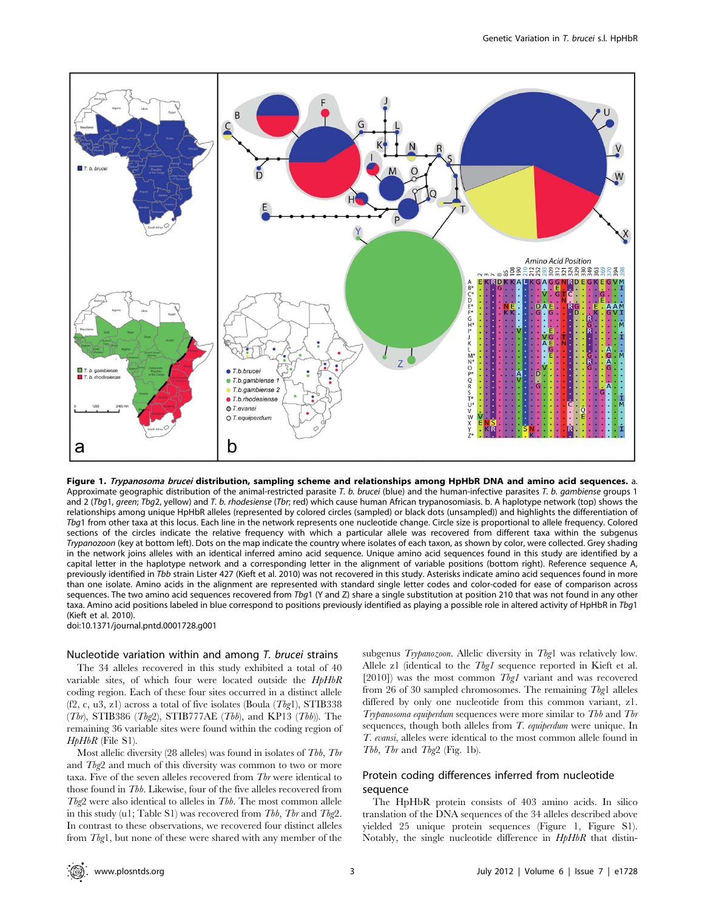

Figure 1. Trypanosoma brucei distribution, sampling scheme and relationships among HpHbR DNA and amino acid sequences. a. Approximate geographic distribution of the animal-restricted parasite T. b. brucei (blue) and the human-infective parasites T. b. gambiense groups 1 and 2 (Tbg1, green; Tbg2, yellow) and T. b. rhodesiense (Tbr; red) which cause human African trypanosomiasis. b. A haplotype network (top) shows the relationships among unique HpHbR alleles (represented by colored circles (sampled) or black dots (unsampled)) and highlights the differentiation of Tbg1 from other taxa at this locus. Each line in the network represents one nucleotide change. Circle size is proportional to allele frequency. Colored sections of the circles indicate the relative frequency with which a particular allele was recovered from different taxa within the subgenus Trypanozoon (key at bottom left). Dots on the map indicate the country where isolates of each taxon, as shown by color, were collected. Grey shading in the network joins alleles with an identical inferred amino acid sequence. Unique amino acid sequences found in this study are identified by a capital letter in the haplotype network and a corresponding letter in the alignment of variable positions (bottom right). Reference sequence A, previously identified in Tbb strain Lister 427 (Kieft et al. 2010) was not recovered in this study. Asterisks indicate amino acid sequences found in more than one isolate. Amino acids in the alignment are represented with standard single letter codes and color-coded for ease of comparison across sequences. The two amino acid sequences recovered from Tbg1 (Y and Z) share a single substitution at position 210 that was not found in any other taxa. Amino acid positions labeled in blue correspond to positions previously identified as playing a possible role in altered activity of HpHbR in Tbg1 (Kieft et al. 2010).

doi:10.1371/journal.pntd.0001728.g001

#### Nucleotide variation within and among T. brucei strains

The 34 alleles recovered in this study exhibited a total of 40 variable sites, of which four were located outside the HpHbR coding region. Each of these four sites occurred in a distinct allele (f2, c, u3, z1) across a total of five isolates (Boula  $(Tbg1)$ , STIB338  $(Tbr)$ , STIB386  $(Tbg2)$ , STIB777AE  $(Tbb)$ , and KP13  $(Tbb)$ ). The remaining 36 variable sites were found within the coding region of HpHbR (File S1).

Most allelic diversity  $(28$  alleles) was found in isolates of Tbb, Tbr and Tbg2 and much of this diversity was common to two or more taxa. Five of the seven alleles recovered from Tbr were identical to those found in Tbb. Likewise, four of the five alleles recovered from  $Tbg2$  were also identical to alleles in  $Tbb$ . The most common allele in this study (u1; Table S1) was recovered from Tbb, Tbr and Tbg2. In contrast to these observations, we recovered four distinct alleles from Tbg1, but none of these were shared with any member of the

subgenus Trypanozoon. Allelic diversity in Tbg1 was relatively low. Allele z1 (identical to the *Tbg1* sequence reported in Kieft et al. [2010]) was the most common Tbg1 variant and was recovered from 26 of 30 sampled chromosomes. The remaining Tbg1 alleles differed by only one nucleotide from this common variant, z1. Trypanosoma equiperdum sequences were more similar to Tbb and Tbr sequences, though both alleles from T. equiperdum were unique. In T. evansi, alleles were identical to the most common allele found in Tbb, Tbr and Tbg2 (Fig. 1b).

# Protein coding differences inferred from nucleotide sequence

The HpHbR protein consists of 403 amino acids. In silico translation of the DNA sequences of the 34 alleles described above yielded 25 unique protein sequences (Figure 1, Figure S1). Notably, the single nucleotide difference in HpHbR that distin-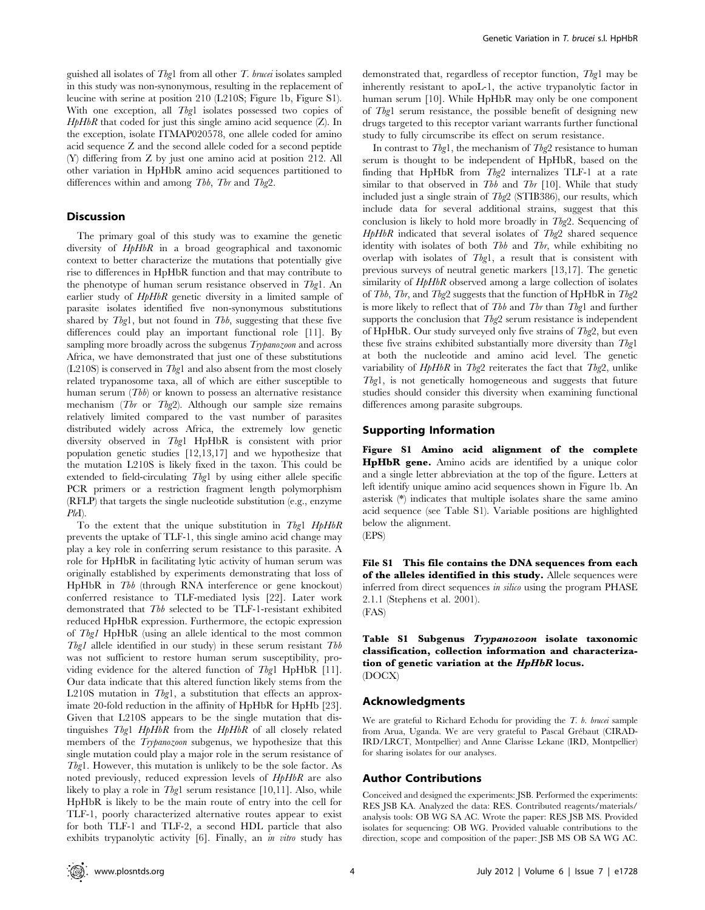guished all isolates of  $Tbgl$  from all other T. brucei isolates sampled in this study was non-synonymous, resulting in the replacement of leucine with serine at position 210 (L210S; Figure 1b, Figure S1). With one exception, all Tbg1 isolates possessed two copies of  $HpHbR$  that coded for just this single amino acid sequence  $(Z)$ . In the exception, isolate ITMAP020578, one allele coded for amino acid sequence Z and the second allele coded for a second peptide (Y) differing from Z by just one amino acid at position 212. All other variation in HpHbR amino acid sequences partitioned to differences within and among Tbb, Tbr and Tbg2.

#### **Discussion**

The primary goal of this study was to examine the genetic diversity of  $HpHbR$  in a broad geographical and taxonomic context to better characterize the mutations that potentially give rise to differences in HpHbR function and that may contribute to the phenotype of human serum resistance observed in Tbg1. An earlier study of  $HpHbR$  genetic diversity in a limited sample of parasite isolates identified five non-synonymous substitutions shared by  $Tbg1$ , but not found in  $Tbb$ , suggesting that these five differences could play an important functional role [11]. By sampling more broadly across the subgenus *Trypanozoon* and across Africa, we have demonstrated that just one of these substitutions (L210S) is conserved in Tbg1 and also absent from the most closely related trypanosome taxa, all of which are either susceptible to human serum  $(Tbb)$  or known to possess an alternative resistance mechanism ( $Tbr$  or  $Tbg2$ ). Although our sample size remains relatively limited compared to the vast number of parasites distributed widely across Africa, the extremely low genetic diversity observed in Tbg1 HpHbR is consistent with prior population genetic studies [12,13,17] and we hypothesize that the mutation L210S is likely fixed in the taxon. This could be extended to field-circulating Tbg1 by using either allele specific PCR primers or a restriction fragment length polymorphism (RFLP) that targets the single nucleotide substitution (e.g., enzyme  $PleI$ ).

To the extent that the unique substitution in Tbg1 HpHbR prevents the uptake of TLF-1, this single amino acid change may play a key role in conferring serum resistance to this parasite. A role for HpHbR in facilitating lytic activity of human serum was originally established by experiments demonstrating that loss of HpHbR in Tbb (through RNA interference or gene knockout) conferred resistance to TLF-mediated lysis [22]. Later work demonstrated that Tbb selected to be TLF-1-resistant exhibited reduced HpHbR expression. Furthermore, the ectopic expression of Tbg1 HpHbR (using an allele identical to the most common Tbg1 allele identified in our study) in these serum resistant  $Tb\bar{b}$ was not sufficient to restore human serum susceptibility, providing evidence for the altered function of Tbg1 HpHbR [11]. Our data indicate that this altered function likely stems from the L210S mutation in Tbg1, a substitution that effects an approximate 20-fold reduction in the affinity of HpHbR for HpHb [23]. Given that L210S appears to be the single mutation that distinguishes Tbg1  $HpHbR$  from the  $HpHbR$  of all closely related members of the *Trypanozoon* subgenus, we hypothesize that this single mutation could play a major role in the serum resistance of Tbg1. However, this mutation is unlikely to be the sole factor. As noted previously, reduced expression levels of HpHbR are also likely to play a role in  $Tbg1$  serum resistance [10,11]. Also, while HpHbR is likely to be the main route of entry into the cell for TLF-1, poorly characterized alternative routes appear to exist for both TLF-1 and TLF-2, a second HDL particle that also exhibits trypanolytic activity [6]. Finally, an *in vitro* study has

demonstrated that, regardless of receptor function, Tbg1 may be inherently resistant to apoL-1, the active trypanolytic factor in human serum [10]. While HpHbR may only be one component of Tbg1 serum resistance, the possible benefit of designing new drugs targeted to this receptor variant warrants further functional study to fully circumscribe its effect on serum resistance.

In contrast to  $Tbg1$ , the mechanism of  $Tbg2$  resistance to human serum is thought to be independent of HpHbR, based on the finding that HpHbR from  $Tbg2$  internalizes TLF-1 at a rate similar to that observed in Tbb and Tbr  $[10]$ . While that study included just a single strain of  $Tb\varrho_2$  (STIB386), our results, which include data for several additional strains, suggest that this conclusion is likely to hold more broadly in  $Tb\varrho 2$ . Sequencing of  $HpHbR$  indicated that several isolates of  $Tbg2$  shared sequence identity with isolates of both  $Tbb$  and  $Tbr$ , while exhibiting no overlap with isolates of Tbg1, a result that is consistent with previous surveys of neutral genetic markers [13,17]. The genetic similarity of  $HpHbR$  observed among a large collection of isolates of Tbb, Tbr, and Tbg2 suggests that the function of HpHbR in Tbg2 is more likely to reflect that of Tbb and Tbr than Tbg1 and further supports the conclusion that Tbg2 serum resistance is independent of HpHbR. Our study surveyed only five strains of  $Tbg2$ , but even these five strains exhibited substantially more diversity than Tbg1 at both the nucleotide and amino acid level. The genetic variability of  $HpHbR$  in Tbg2 reiterates the fact that Tbg2, unlike Tbg1, is not genetically homogeneous and suggests that future studies should consider this diversity when examining functional differences among parasite subgroups.

#### Supporting Information

Figure S1 Amino acid alignment of the complete HpHbR gene. Amino acids are identified by a unique color and a single letter abbreviation at the top of the figure. Letters at left identify unique amino acid sequences shown in Figure 1b. An asterisk (\*) indicates that multiple isolates share the same amino acid sequence (see Table S1). Variable positions are highlighted below the alignment.



File S1 This file contains the DNA sequences from each of the alleles identified in this study. Allele sequences were inferred from direct sequences in silico using the program PHASE 2.1.1 (Stephens et al. 2001). (FAS)

Table S1 Subgenus Trypanozoon isolate taxonomic classification, collection information and characterization of genetic variation at the HpHbR locus. (DOCX)

# Acknowledgments

We are grateful to Richard Echodu for providing the T. b. brucei sample from Arua, Uganda. We are very grateful to Pascal Grébaut (CIRAD-IRD/LRCT, Montpellier) and Anne Clarisse Lekane (IRD, Montpellier) for sharing isolates for our analyses.

#### Author Contributions

Conceived and designed the experiments: JSB. Performed the experiments: RES JSB KA. Analyzed the data: RES. Contributed reagents/materials/ analysis tools: OB WG SA AC. Wrote the paper: RES JSB MS. Provided isolates for sequencing: OB WG. Provided valuable contributions to the direction, scope and composition of the paper: JSB MS OB SA WG AC.